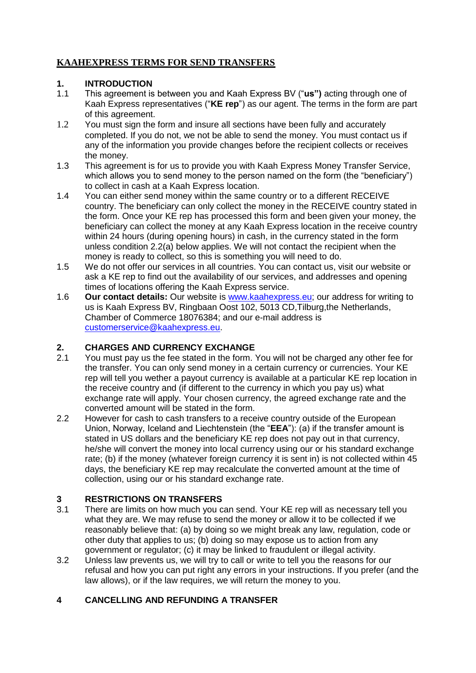# **KAAHEXPRESS TERMS FOR SEND TRANSFERS**

#### **1. INTRODUCTION**

- 1.1 This agreement is between you and Kaah Express BV ("**us")** acting through one of Kaah Express representatives ("**KE rep**") as our agent. The terms in the form are part of this agreement.
- 1.2 You must sign the form and insure all sections have been fully and accurately completed. If you do not, we not be able to send the money. You must contact us if any of the information you provide changes before the recipient collects or receives the money.
- 1.3 This agreement is for us to provide you with Kaah Express Money Transfer Service, which allows you to send money to the person named on the form (the "beneficiary") to collect in cash at a Kaah Express location.
- 1.4 You can either send money within the same country or to a different RECEIVE country. The beneficiary can only collect the money in the RECEIVE country stated in the form. Once your KE rep has processed this form and been given your money, the beneficiary can collect the money at any Kaah Express location in the receive country within 24 hours (during opening hours) in cash, in the currency stated in the form unless condition 2.2(a) below applies. We will not contact the recipient when the money is ready to collect, so this is something you will need to do.
- 1.5 We do not offer our services in all countries. You can contact us, visit our website or ask a KE rep to find out the availability of our services, and addresses and opening times of locations offering the Kaah Express service.
- 1.6 **Our contact details:** Our website is [www.kaahexpress.eu;](http://www.kaahexpress.eu/) our address for writing to us is Kaah Express BV, Ringbaan Oost 102, 5013 CD,Tilburg,the Netherlands, Chamber of Commerce 18076384; and our e-mail address is [customerservice@kaahexpress.eu.](mailto:customerservice@kaahexpress.eu)

## **2. CHARGES AND CURRENCY EXCHANGE**

- 2.1 You must pay us the fee stated in the form. You will not be charged any other fee for the transfer. You can only send money in a certain currency or currencies. Your KE rep will tell you wether a payout currency is available at a particular KE rep location in the receive country and (if different to the currency in which you pay us) what exchange rate will apply. Your chosen currency, the agreed exchange rate and the converted amount will be stated in the form.
- 2.2 However for cash to cash transfers to a receive country outside of the European Union, Norway, Iceland and Liechtenstein (the "**EEA**"): (a) if the transfer amount is stated in US dollars and the beneficiary KE rep does not pay out in that currency, he/she will convert the money into local currency using our or his standard exchange rate; (b) if the money (whatever foreign currency it is sent in) is not collected within 45 days, the beneficiary KE rep may recalculate the converted amount at the time of collection, using our or his standard exchange rate.

## **3 RESTRICTIONS ON TRANSFERS**

- 3.1 There are limits on how much you can send. Your KE rep will as necessary tell you what they are. We may refuse to send the money or allow it to be collected if we reasonably believe that: (a) by doing so we might break any law, regulation, code or other duty that applies to us; (b) doing so may expose us to action from any government or regulator; (c) it may be linked to fraudulent or illegal activity.
- 3.2 Unless law prevents us, we will try to call or write to tell you the reasons for our refusal and how you can put right any errors in your instructions. If you prefer (and the law allows), or if the law requires, we will return the money to you.

## **4 CANCELLING AND REFUNDING A TRANSFER**